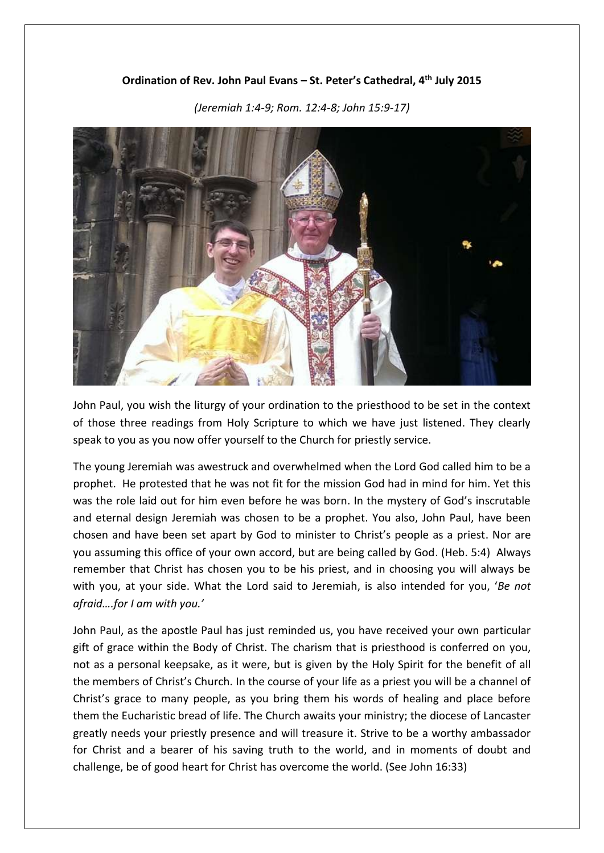## **Ordination of Rev. John Paul Evans – St. Peter's Cathedral, 4th July 2015**



*(Jeremiah 1:4-9; Rom. 12:4-8; John 15:9-17)*

John Paul, you wish the liturgy of your ordination to the priesthood to be set in the context of those three readings from Holy Scripture to which we have just listened. They clearly speak to you as you now offer yourself to the Church for priestly service.

The young Jeremiah was awestruck and overwhelmed when the Lord God called him to be a prophet. He protested that he was not fit for the mission God had in mind for him. Yet this was the role laid out for him even before he was born. In the mystery of God's inscrutable and eternal design Jeremiah was chosen to be a prophet. You also, John Paul, have been chosen and have been set apart by God to minister to Christ's people as a priest. Nor are you assuming this office of your own accord, but are being called by God. (Heb. 5:4) Always remember that Christ has chosen you to be his priest, and in choosing you will always be with you, at your side. What the Lord said to Jeremiah, is also intended for you, '*Be not afraid….for I am with you.'* 

John Paul, as the apostle Paul has just reminded us, you have received your own particular gift of grace within the Body of Christ. The charism that is priesthood is conferred on you, not as a personal keepsake, as it were, but is given by the Holy Spirit for the benefit of all the members of Christ's Church. In the course of your life as a priest you will be a channel of Christ's grace to many people, as you bring them his words of healing and place before them the Eucharistic bread of life. The Church awaits your ministry; the diocese of Lancaster greatly needs your priestly presence and will treasure it. Strive to be a worthy ambassador for Christ and a bearer of his saving truth to the world, and in moments of doubt and challenge, be of good heart for Christ has overcome the world. (See John 16:33)